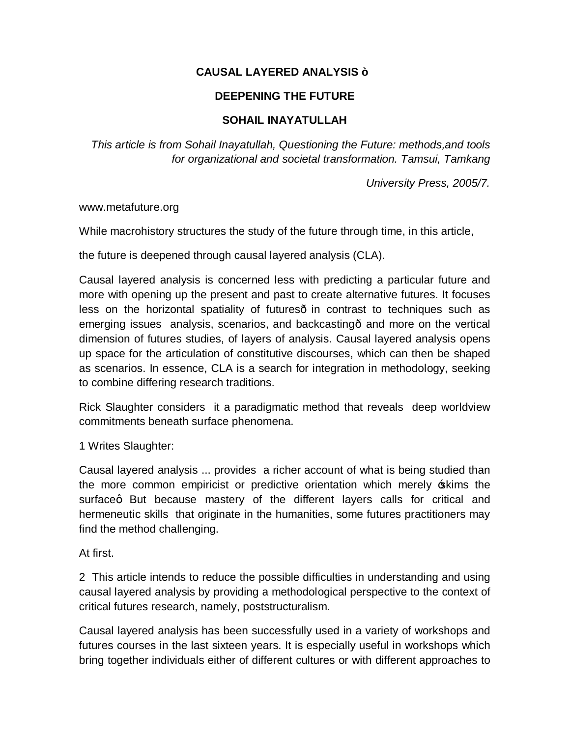# **CAUSAL LAYERED ANALYSIS —**

# **DEEPENING THE FUTURE**

# **SOHAIL INAYATULLAH**

*This article is from Sohail Inayatullah, Questioning the Future: methods,and tools for organizational and societal transformation. Tamsui, Tamkang*

*University Press, 2005/7.*

www.metafuture.org

While macrohistory structures the study of the future through time, in this article,

the future is deepened through causal layered analysis (CLA).

Causal layered analysis is concerned less with predicting a particular future and more with opening up the present and past to create alternative futures. It focuses less on the horizontal spatiality of futures in contrast to techniques such as emerging issues analysis, scenarios, and backcasting and more on the vertical dimension of futures studies, of layers of analysis. Causal layered analysis opens up space for the articulation of constitutive discourses, which can then be shaped as scenarios. In essence, CLA is a search for integration in methodology, seeking to combine differing research traditions.

Rick Slaughter considers it a paradigmatic method that reveals deep worldview commitments beneath surface phenomena.

1 Writes Slaughter:

Causal layered analysis ... provides a richer account of what is being studied than the more common empiricist or predictive orientation which merely skims the surfaceg But because mastery of the different layers calls for critical and hermeneutic skills that originate in the humanities, some futures practitioners may find the method challenging.

At first.

2 This article intends to reduce the possible difficulties in understanding and using causal layered analysis by providing a methodological perspective to the context of critical futures research, namely, poststructuralism.

Causal layered analysis has been successfully used in a variety of workshops and futures courses in the last sixteen years. It is especially useful in workshops which bring together individuals either of different cultures or with different approaches to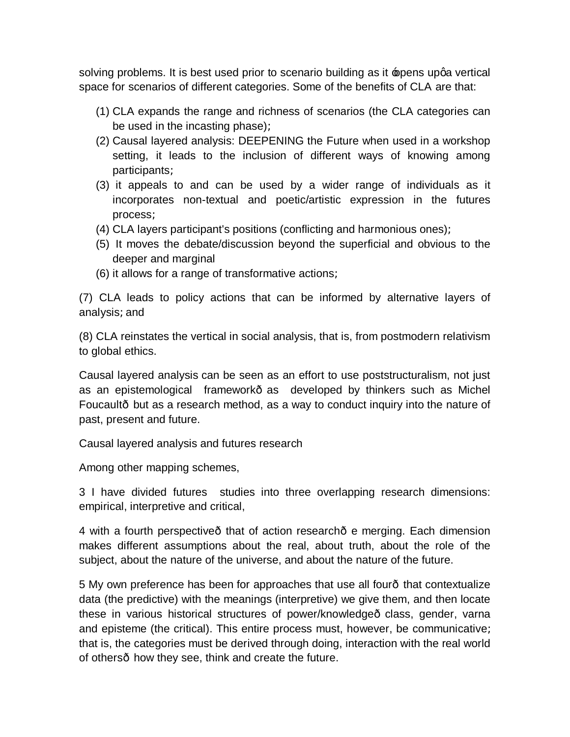solving problems. It is best used prior to scenario building as it poens upga vertical space for scenarios of different categories. Some of the benefits of CLA are that:

- (1) CLA expands the range and richness of scenarios (the CLA categories can be used in the incasting  $phase$ ) $L$
- (2) Causal layered analysis: DEEPENING the Future when used in a workshop setting, it leads to the inclusion of different ways of knowing among participantsL
- (3) it appeals to and can be used by a wider range of individuals as it incorporates non-textual and poetic/artistic expression in the futures processL
- (4) CLA layers participant's positions (conflicting and harmonious ones)L
- (5) It moves the debate/discussion beyond the superficial and obvious to the deeper and marginal
- (6) it allows for a range of transformative actionsL

(7) CLA leads to policy actions that can be informed by alternative layers of analysisLand

(8) CLA reinstates the vertical in social analysis, that is, from postmodern relativism to global ethics.

Causal layered analysis can be seen as an effort to use poststructuralism, not just as an epistemological framework as developed by thinkers such as Michel Foucault—but as a research method, as a way to conduct inquiry into the nature of past, present and future.

Causal layered analysis and futures research

Among other mapping schemes,

3 I have divided futures studies into three overlapping research dimensions: empirical, interpretive and critical,

4 with a fourth perspective that of action research e merging. Each dimension makes different assumptions about the real, about truth, about the role of the subject, about the nature of the universe, and about the nature of the future.

5 My own preference has been for approaches that use all four—that contextualize data (the predictive) with the meanings (interpretive) we give them, and then locate these in various historical structures of power/knowledge—class, gender, varna and episteme (the critical). This entire process must, however, be communicativeL that is, the categories must be derived through doing, interaction with the real world of others how they see, think and create the future.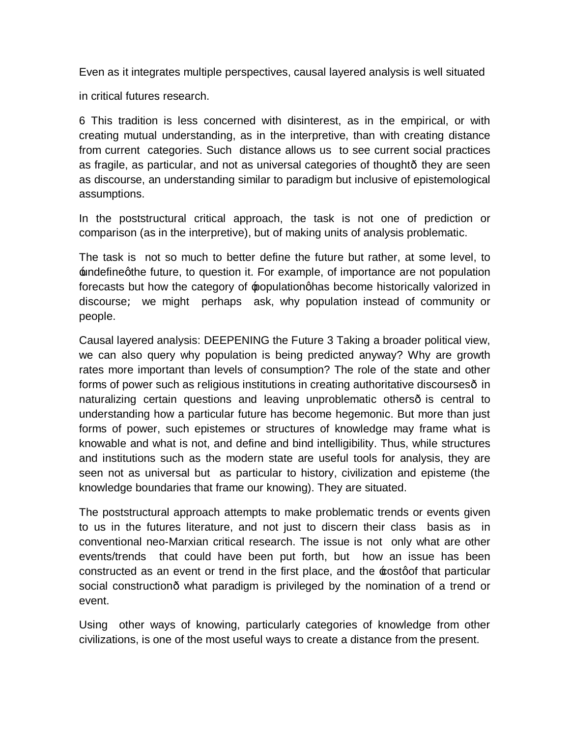Even as it integrates multiple perspectives, causal layered analysis is well situated

in critical futures research.

6 This tradition is less concerned with disinterest, as in the empirical, or with creating mutual understanding, as in the interpretive, than with creating distance from current categories. Such distance allows us to see current social practices as fragile, as particular, and not as universal categories of thought—they are seen as discourse, an understanding similar to paradigm but inclusive of epistemological assumptions.

In the poststructural critical approach, the task is not one of prediction or comparison (as in the interpretive), but of making units of analysis problematic.

The task is not so much to better define the future but rather, at some level, to  $\pm$ ndefinegthe future, to question it. For example, of importance are not population forecasts but how the category of populationghas become historically valorized in discourseL we might perhaps ask, why population instead of community or people.

Causal layered analysis: DEEPENING the Future 3 Taking a broader political view, we can also query why population is being predicted anyway? Why are growth rates more important than levels of consumption? The role of the state and other forms of power such as religious institutions in creating authoritative discourses- in naturalizing certain questions and leaving unproblematic others- is central to understanding how a particular future has become hegemonic. But more than just forms of power, such epistemes or structures of knowledge may frame what is knowable and what is not, and define and bind intelligibility. Thus, while structures and institutions such as the modern state are useful tools for analysis, they are seen not as universal but as particular to history, civilization and episteme (the knowledge boundaries that frame our knowing). They are situated.

The poststructural approach attempts to make problematic trends or events given to us in the futures literature, and not just to discern their class basis as in conventional neo-Marxian critical research. The issue is not only what are other events/trends that could have been put forth, but how an issue has been constructed as an event or trend in the first place, and the  $\pm$ ostgof that particular social construction what paradigm is privileged by the nomination of a trend or event.

Using other ways of knowing, particularly categories of knowledge from other civilizations, is one of the most useful ways to create a distance from the present.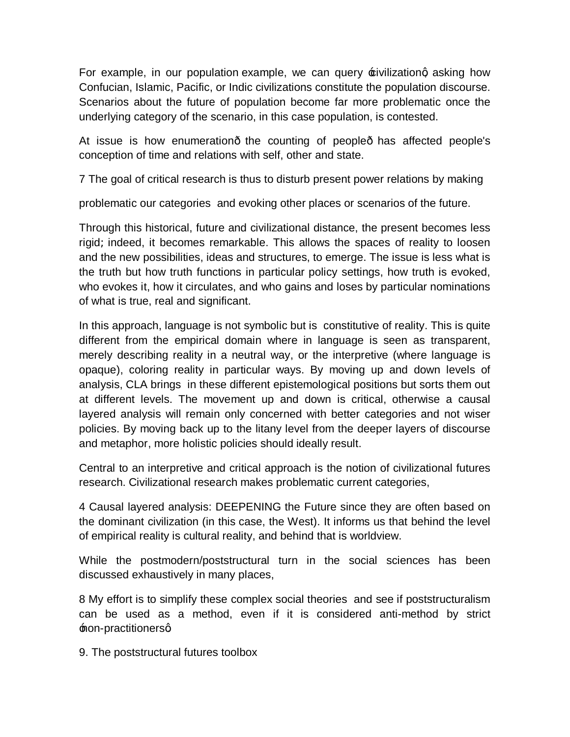For example, in our population example, we can query  $\pm$ ivilizationg asking how Confucian, Islamic, Pacific, or Indic civilizations constitute the population discourse. Scenarios about the future of population become far more problematic once the underlying category of the scenario, in this case population, is contested.

At issue is how enumeration the counting of people has affected people's conception of time and relations with self, other and state.

7 The goal of critical research is thus to disturb present power relations by making

problematic our categories and evoking other places or scenarios of the future.

Through this historical, future and civilizational distance, the present becomes less rigid Lindeed, it becomes remarkable. This allows the spaces of reality to loosen and the new possibilities, ideas and structures, to emerge. The issue is less what is the truth but how truth functions in particular policy settings, how truth is evoked, who evokes it, how it circulates, and who gains and loses by particular nominations of what is true, real and significant.

In this approach, language is not symbolic but is constitutive of reality. This is quite different from the empirical domain where in language is seen as transparent, merely describing reality in a neutral way, or the interpretive (where language is opaque), coloring reality in particular ways. By moving up and down levels of analysis, CLA brings in these different epistemological positions but sorts them out at different levels. The movement up and down is critical, otherwise a causal layered analysis will remain only concerned with better categories and not wiser policies. By moving back up to the litany level from the deeper layers of discourse and metaphor, more holistic policies should ideally result.

Central to an interpretive and critical approach is the notion of civilizational futures research. Civilizational research makes problematic current categories,

4 Causal layered analysis: DEEPENING the Future since they are often based on the dominant civilization (in this case, the West). It informs us that behind the level of empirical reality is cultural reality, and behind that is worldview.

While the postmodern/poststructural turn in the social sciences has been discussed exhaustively in many places,

8 My effort is to simplify these complex social theories and see if poststructuralism can be used as a method, even if it is considered anti-method by strict **from-practitionersq** 

9. The poststructural futures toolbox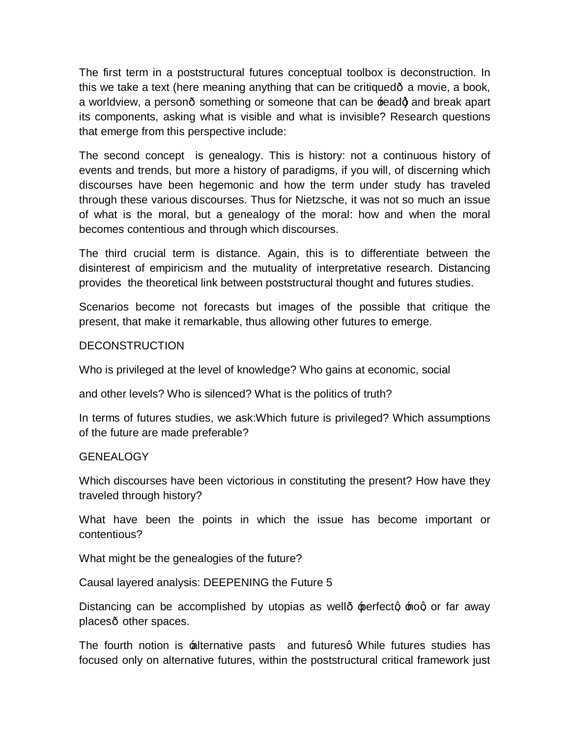The first term in a poststructural futures conceptual toolbox is deconstruction. In this we take a text (here meaning anything that can be critiqued—a movie, a book, a worldview, a person- something or someone that can be readd and break apart its components, asking what is visible and what is invisible? Research questions that emerge from this perspective include:

The second concept is genealogy. This is history: not a continuous history of events and trends, but more a history of paradigms, if you will, of discerning which discourses have been hegemonic and how the term under study has traveled through these various discourses. Thus for Nietzsche, it was not so much an issue of what is the moral, but a genealogy of the moral: how and when the moral becomes contentious and through which discourses.

The third crucial term is distance. Again, this is to differentiate between the disinterest of empiricism and the mutuality of interpretative research. Distancing provides the theoretical link between poststructural thought and futures studies.

Scenarios become not forecasts but images of the possible that critique the present, that make it remarkable, thus allowing other futures to emerge.

#### **DECONSTRUCTION**

Who is privileged at the level of knowledge? Who gains at economic, social

and other levels? Who is silenced? What is the politics of truth?

In terms of futures studies, we ask:Which future is privileged? Which assumptions of the future are made preferable?

#### GENEALOGY

Which discourses have been victorious in constituting the present? How have they traveled through history?

What have been the points in which the issue has become important or contentious?

What might be the genealogies of the future?

Causal layered analysis: DEEPENING the Future 5

Distancing can be accomplished by utopias as well- perfectg nog or far away places other spaces.

The fourth notion is alternative pasts and futuresq While futures studies has focused only on alternative futures, within the poststructural critical framework just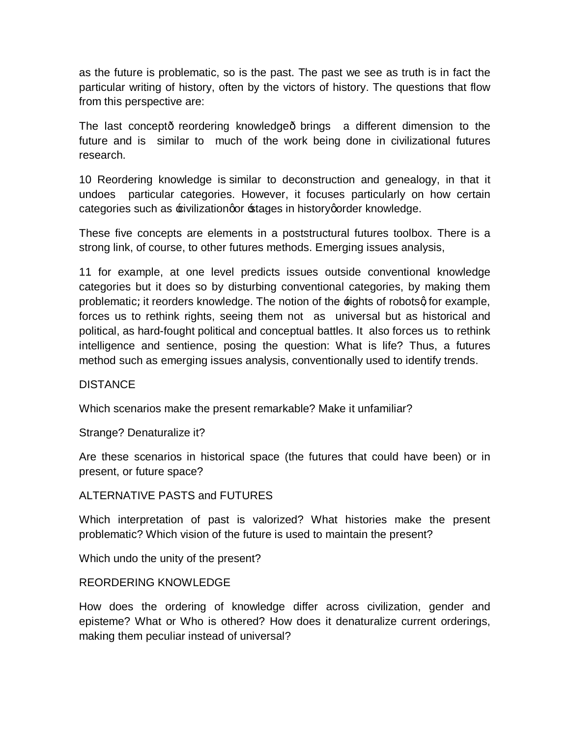as the future is problematic, so is the past. The past we see as truth is in fact the particular writing of history, often by the victors of history. The questions that flow from this perspective are:

The last concept reordering knowledge brings a different dimension to the future and is similar to much of the work being done in civilizational futures research.

10 Reordering knowledge is similar to deconstruction and genealogy, in that it undoes particular categories. However, it focuses particularly on how certain categories such as  $\pm$ ivilization or  $\pm$ tages in history order knowledge.

These five concepts are elements in a poststructural futures toolbox. There is a strong link, of course, to other futures methods. Emerging issues analysis,

11 for example, at one level predicts issues outside conventional knowledge categories but it does so by disturbing conventional categories, by making them problematicLit reorders knowledge. The notion of the **fights of robotsg for example**, forces us to rethink rights, seeing them not as universal but as historical and political, as hard-fought political and conceptual battles. It also forces us to rethink intelligence and sentience, posing the question: What is life? Thus, a futures method such as emerging issues analysis, conventionally used to identify trends.

**DISTANCE** 

Which scenarios make the present remarkable? Make it unfamiliar?

Strange? Denaturalize it?

Are these scenarios in historical space (the futures that could have been) or in present, or future space?

#### ALTERNATIVE PASTS and FUTURES

Which interpretation of past is valorized? What histories make the present problematic? Which vision of the future is used to maintain the present?

Which undo the unity of the present?

#### REORDERING KNOWLEDGE

How does the ordering of knowledge differ across civilization, gender and episteme? What or Who is othered? How does it denaturalize current orderings, making them peculiar instead of universal?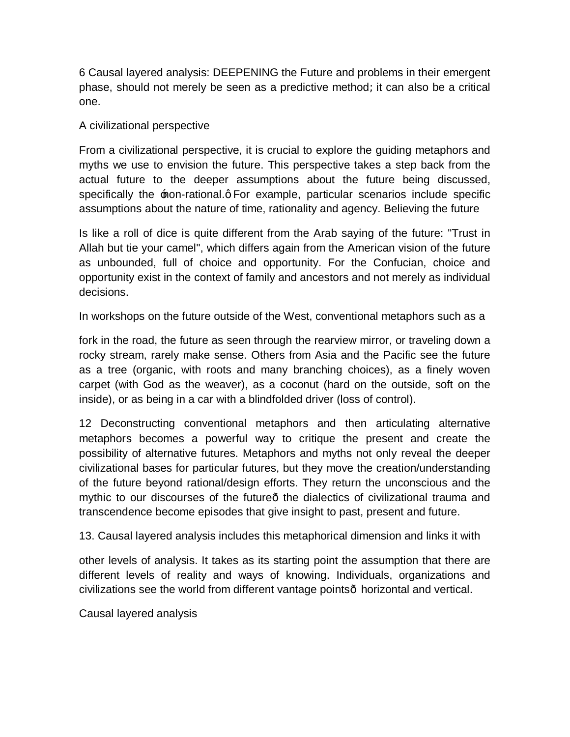6 Causal layered analysis: DEEPENING the Future and problems in their emergent phase, should not merely be seen as a predictive methodLit can also be a critical one.

#### A civilizational perspective

From a civilizational perspective, it is crucial to explore the guiding metaphors and myths we use to envision the future. This perspective takes a step back from the actual future to the deeper assumptions about the future being discussed, specifically the mon-rational.q For example, particular scenarios include specific assumptions about the nature of time, rationality and agency. Believing the future

Is like a roll of dice is quite different from the Arab saying of the future: "Trust in Allah but tie your camel", which differs again from the American vision of the future as unbounded, full of choice and opportunity. For the Confucian, choice and opportunity exist in the context of family and ancestors and not merely as individual decisions.

In workshops on the future outside of the West, conventional metaphors such as a

fork in the road, the future as seen through the rearview mirror, or traveling down a rocky stream, rarely make sense. Others from Asia and the Pacific see the future as a tree (organic, with roots and many branching choices), as a finely woven carpet (with God as the weaver), as a coconut (hard on the outside, soft on the inside), or as being in a car with a blindfolded driver (loss of control).

12 Deconstructing conventional metaphors and then articulating alternative metaphors becomes a powerful way to critique the present and create the possibility of alternative futures. Metaphors and myths not only reveal the deeper civilizational bases for particular futures, but they move the creation/understanding of the future beyond rational/design efforts. They return the unconscious and the mythic to our discourses of the future the dialectics of civilizational trauma and transcendence become episodes that give insight to past, present and future.

13. Causal layered analysis includes this metaphorical dimension and links it with

other levels of analysis. It takes as its starting point the assumption that there are different levels of reality and ways of knowing. Individuals, organizations and civilizations see the world from different vantage points horizontal and vertical.

Causal layered analysis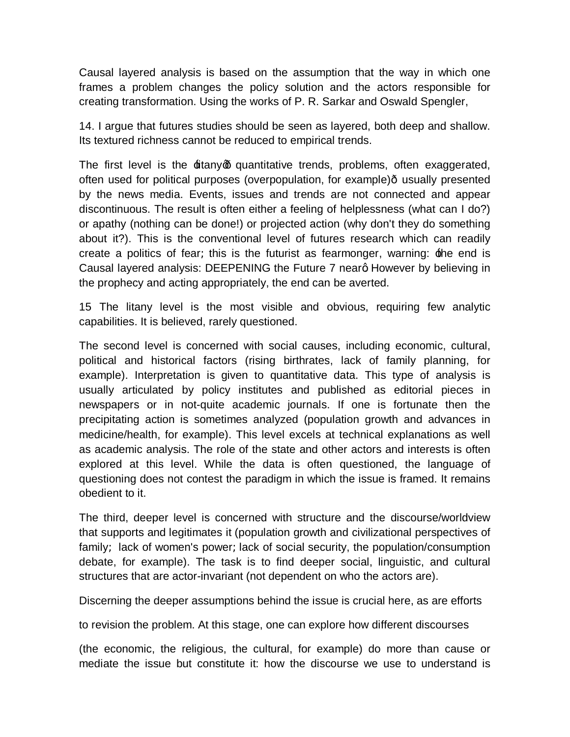Causal layered analysis is based on the assumption that the way in which one frames a problem changes the policy solution and the actors responsible for creating transformation. Using the works of P. R. Sarkar and Oswald Spengler,

14. I argue that futures studies should be seen as layered, both deep and shallow. Its textured richness cannot be reduced to empirical trends.

The first level is the <del>li</del>tanyg quantitative trends, problems, often exaggerated, often used for political purposes (overpopulation, for example) usually presented by the news media. Events, issues and trends are not connected and appear discontinuous. The result is often either a feeling of helplessness (what can I do?) or apathy (nothing can be done!) or projected action (why don't they do something about it?). This is the conventional level of futures research which can readily create a politics of fearL this is the futurist as fearmonger, warning:  $\pm$ he end is Causal layered analysis: DEEPENING the Future 7 nearg However by believing in the prophecy and acting appropriately, the end can be averted.

15 The litany level is the most visible and obvious, requiring few analytic capabilities. It is believed, rarely questioned.

The second level is concerned with social causes, including economic, cultural, political and historical factors (rising birthrates, lack of family planning, for example). Interpretation is given to quantitative data. This type of analysis is usually articulated by policy institutes and published as editorial pieces in newspapers or in not-quite academic journals. If one is fortunate then the precipitating action is sometimes analyzed (population growth and advances in medicine/health, for example). This level excels at technical explanations as well as academic analysis. The role of the state and other actors and interests is often explored at this level. While the data is often questioned, the language of questioning does not contest the paradigm in which the issue is framed. It remains obedient to it.

The third, deeper level is concerned with structure and the discourse/worldview that supports and legitimates it (population growth and civilizational perspectives of family Llack of women's power Llack of social security, the population/consumption debate, for example). The task is to find deeper social, linguistic, and cultural structures that are actor-invariant (not dependent on who the actors are).

Discerning the deeper assumptions behind the issue is crucial here, as are efforts

to revision the problem. At this stage, one can explore how different discourses

(the economic, the religious, the cultural, for example) do more than cause or mediate the issue but constitute it: how the discourse we use to understand is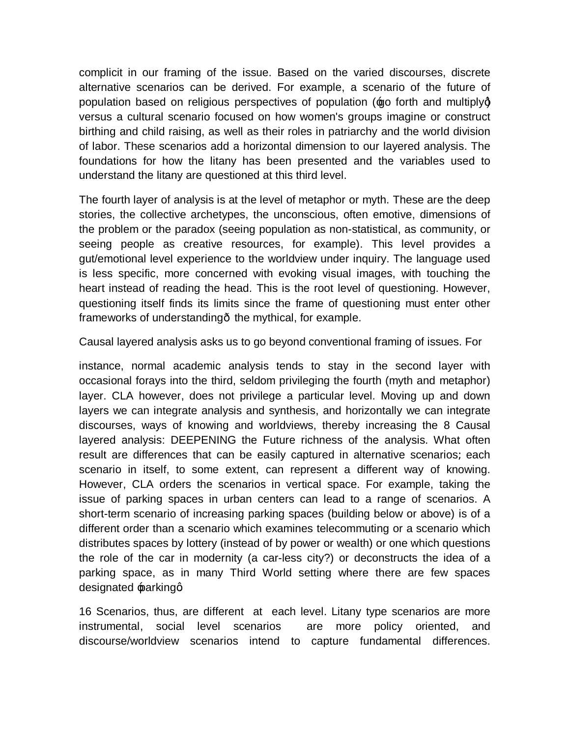complicit in our framing of the issue. Based on the varied discourses, discrete alternative scenarios can be derived. For example, a scenario of the future of population based on religious perspectives of population  $(400)$  forth and multiply versus a cultural scenario focused on how women's groups imagine or construct birthing and child raising, as well as their roles in patriarchy and the world division of labor. These scenarios add a horizontal dimension to our layered analysis. The foundations for how the litany has been presented and the variables used to understand the litany are questioned at this third level.

The fourth layer of analysis is at the level of metaphor or myth. These are the deep stories, the collective archetypes, the unconscious, often emotive, dimensions of the problem or the paradox (seeing population as non-statistical, as community, or seeing people as creative resources, for example). This level provides a gut/emotional level experience to the worldview under inquiry. The language used is less specific, more concerned with evoking visual images, with touching the heart instead of reading the head. This is the root level of questioning. However, questioning itself finds its limits since the frame of questioning must enter other frameworks of understanding the mythical, for example.

Causal layered analysis asks us to go beyond conventional framing of issues. For

instance, normal academic analysis tends to stay in the second layer with occasional forays into the third, seldom privileging the fourth (myth and metaphor) layer. CLA however, does not privilege a particular level. Moving up and down layers we can integrate analysis and synthesis, and horizontally we can integrate discourses, ways of knowing and worldviews, thereby increasing the 8 Causal layered analysis: DEEPENING the Future richness of the analysis. What often result are differences that can be easily captured in alternative scenariosLeach scenario in itself, to some extent, can represent a different way of knowing. However, CLA orders the scenarios in vertical space. For example, taking the issue of parking spaces in urban centers can lead to a range of scenarios. A short-term scenario of increasing parking spaces (building below or above) is of a different order than a scenario which examines telecommuting or a scenario which distributes spaces by lottery (instead of by power or wealth) or one which questions the role of the car in modernity (a car-less city?) or deconstructs the idea of a parking space, as in many Third World setting where there are few spaces designated parkingq

16 Scenarios, thus, are different at each level. Litany type scenarios are more instrumental, social level scenarios are more policy oriented, and discourse/worldview scenarios intend to capture fundamental differences.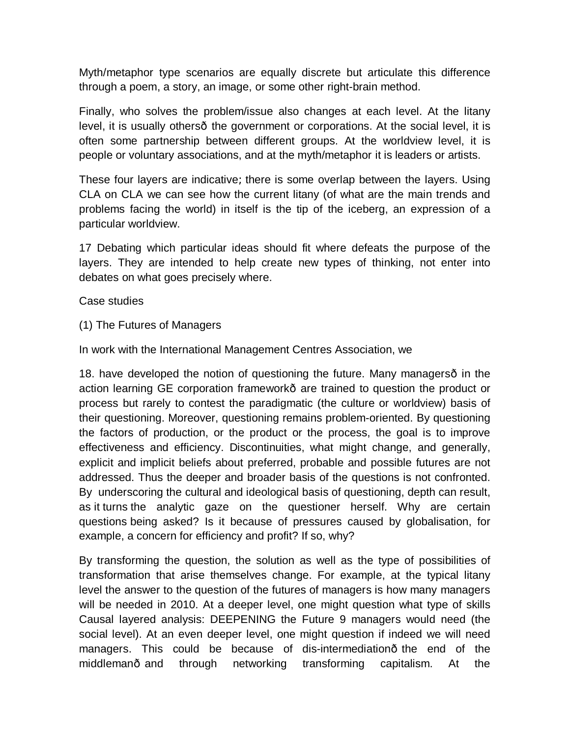Myth/metaphor type scenarios are equally discrete but articulate this difference through a poem, a story, an image, or some other right-brain method.

Finally, who solves the problem/issue also changes at each level. At the litany level, it is usually others the government or corporations. At the social level, it is often some partnership between different groups. At the worldview level, it is people or voluntary associations, and at the myth/metaphor it is leaders or artists.

These four layers are indicative Lthere is some overlap between the layers. Using CLA on CLA we can see how the current litany (of what are the main trends and problems facing the world) in itself is the tip of the iceberg, an expression of a particular worldview.

17 Debating which particular ideas should fit where defeats the purpose of the layers. They are intended to help create new types of thinking, not enter into debates on what goes precisely where.

#### Case studies

(1) The Futures of Managers

In work with the International Management Centres Association, we

18. have developed the notion of questioning the future. Many managers—in the action learning GE corporation framework- are trained to question the product or process but rarely to contest the paradigmatic (the culture or worldview) basis of their questioning. Moreover, questioning remains problem-oriented. By questioning the factors of production, or the product or the process, the goal is to improve effectiveness and efficiency. Discontinuities, what might change, and generally, explicit and implicit beliefs about preferred, probable and possible futures are not addressed. Thus the deeper and broader basis of the questions is not confronted. By underscoring the cultural and ideological basis of questioning, depth can result, as it turns the analytic gaze on the questioner herself. Why are certain questions being asked? Is it because of pressures caused by globalisation, for example, a concern for efficiency and profit? If so, why?

By transforming the question, the solution as well as the type of possibilities of transformation that arise themselves change. For example, at the typical litany level the answer to the question of the futures of managers is how many managers will be needed in 2010. At a deeper level, one might question what type of skills Causal layered analysis: DEEPENING the Future 9 managers would need (the social level). At an even deeper level, one might question if indeed we will need managers. This could be because of dis-intermediation the end of the middleman and through networking transforming capitalism. At the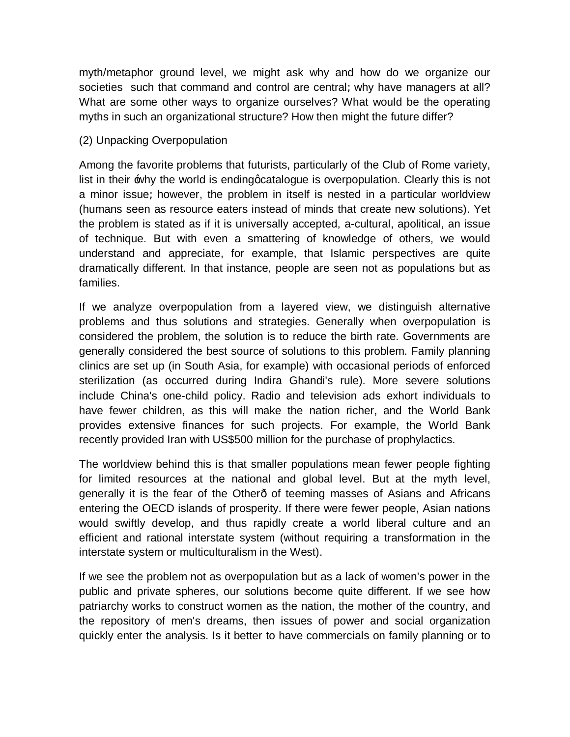myth/metaphor ground level, we might ask why and how do we organize our societies such that command and control are central Lwhy have managers at all? What are some other ways to organize ourselves? What would be the operating myths in such an organizational structure? How then might the future differ?

### (2) Unpacking Overpopulation

Among the favorite problems that futurists, particularly of the Club of Rome variety, list in their  $\pm$ why the world is ending quatalogue is overpopulation. Clearly this is not a minor issueL however, the problem in itself is nested in a particular worldview (humans seen as resource eaters instead of minds that create new solutions). Yet the problem is stated as if it is universally accepted, a-cultural, apolitical, an issue of technique. But with even a smattering of knowledge of others, we would understand and appreciate, for example, that Islamic perspectives are quite dramatically different. In that instance, people are seen not as populations but as families.

If we analyze overpopulation from a layered view, we distinguish alternative problems and thus solutions and strategies. Generally when overpopulation is considered the problem, the solution is to reduce the birth rate. Governments are generally considered the best source of solutions to this problem. Family planning clinics are set up (in South Asia, for example) with occasional periods of enforced sterilization (as occurred during Indira Ghandi's rule). More severe solutions include China's one-child policy. Radio and television ads exhort individuals to have fewer children, as this will make the nation richer, and the World Bank provides extensive finances for such projects. For example, the World Bank recently provided Iran with US\$500 million for the purchase of prophylactics.

The worldview behind this is that smaller populations mean fewer people fighting for limited resources at the national and global level. But at the myth level, generally it is the fear of the Other—of teeming masses of Asians and Africans entering the OECD islands of prosperity. If there were fewer people, Asian nations would swiftly develop, and thus rapidly create a world liberal culture and an efficient and rational interstate system (without requiring a transformation in the interstate system or multiculturalism in the West).

If we see the problem not as overpopulation but as a lack of women's power in the public and private spheres, our solutions become quite different. If we see how patriarchy works to construct women as the nation, the mother of the country, and the repository of men's dreams, then issues of power and social organization quickly enter the analysis. Is it better to have commercials on family planning or to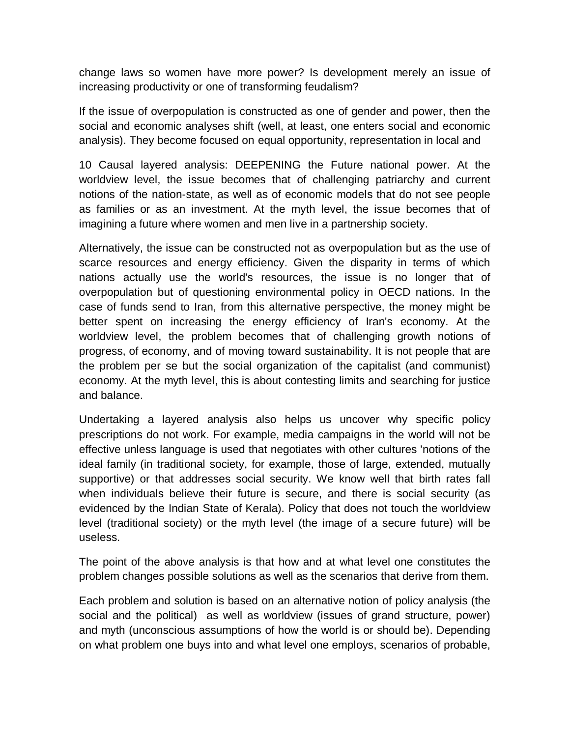change laws so women have more power? Is development merely an issue of increasing productivity or one of transforming feudalism?

If the issue of overpopulation is constructed as one of gender and power, then the social and economic analyses shift (well, at least, one enters social and economic analysis). They become focused on equal opportunity, representation in local and

10 Causal layered analysis: DEEPENING the Future national power. At the worldview level, the issue becomes that of challenging patriarchy and current notions of the nation-state, as well as of economic models that do not see people as families or as an investment. At the myth level, the issue becomes that of imagining a future where women and men live in a partnership society.

Alternatively, the issue can be constructed not as overpopulation but as the use of scarce resources and energy efficiency. Given the disparity in terms of which nations actually use the world's resources, the issue is no longer that of overpopulation but of questioning environmental policy in OECD nations. In the case of funds send to Iran, from this alternative perspective, the money might be better spent on increasing the energy efficiency of Iran's economy. At the worldview level, the problem becomes that of challenging growth notions of progress, of economy, and of moving toward sustainability. It is not people that are the problem per se but the social organization of the capitalist (and communist) economy. At the myth level, this is about contesting limits and searching for justice and balance.

Undertaking a layered analysis also helps us uncover why specific policy prescriptions do not work. For example, media campaigns in the world will not be effective unless language is used that negotiates with other cultures 'notions of the ideal family (in traditional society, for example, those of large, extended, mutually supportive) or that addresses social security. We know well that birth rates fall when individuals believe their future is secure, and there is social security (as evidenced by the Indian State of Kerala). Policy that does not touch the worldview level (traditional society) or the myth level (the image of a secure future) will be useless.

The point of the above analysis is that how and at what level one constitutes the problem changes possible solutions as well as the scenarios that derive from them.

Each problem and solution is based on an alternative notion of policy analysis (the social and the political) as well as worldview (issues of grand structure, power) and myth (unconscious assumptions of how the world is or should be). Depending on what problem one buys into and what level one employs, scenarios of probable,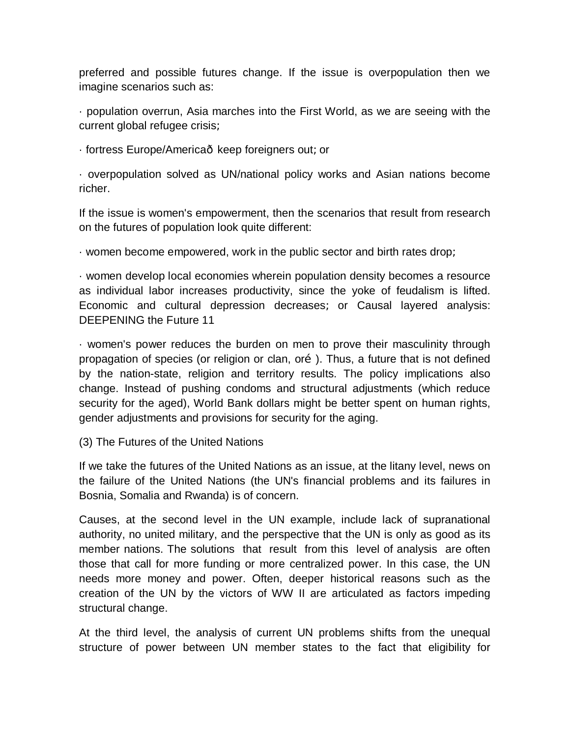preferred and possible futures change. If the issue is overpopulation then we imagine scenarios such as:

· population overrun, Asia marches into the First World, as we are seeing with the current global refugee crisisL

· fortress Europe/America - keep foreigners outLor

· overpopulation solved as UN/national policy works and Asian nations become richer.

If the issue is women's empowerment, then the scenarios that result from research on the futures of population look quite different:

· women become empowered, work in the public sector and birth rates drop;

· women develop local economies wherein population density becomes a resource as individual labor increases productivity, since the yoke of feudalism is lifted. Economic and cultural depression decreasesL or Causal layered analysis: DEEPENING the Future 11

· women's power reduces the burden on men to prove their masculinity through propagation of species (or religion or clan, oro ). Thus, a future that is not defined by the nation-state, religion and territory results. The policy implications also change. Instead of pushing condoms and structural adjustments (which reduce security for the aged), World Bank dollars might be better spent on human rights, gender adjustments and provisions for security for the aging.

(3) The Futures of the United Nations

If we take the futures of the United Nations as an issue, at the litany level, news on the failure of the United Nations (the UN's financial problems and its failures in Bosnia, Somalia and Rwanda) is of concern.

Causes, at the second level in the UN example, include lack of supranational authority, no united military, and the perspective that the UN is only as good as its member nations. The solutions that result from this level of analysis are often those that call for more funding or more centralized power. In this case, the UN needs more money and power. Often, deeper historical reasons such as the creation of the UN by the victors of WW II are articulated as factors impeding structural change.

At the third level, the analysis of current UN problems shifts from the unequal structure of power between UN member states to the fact that eligibility for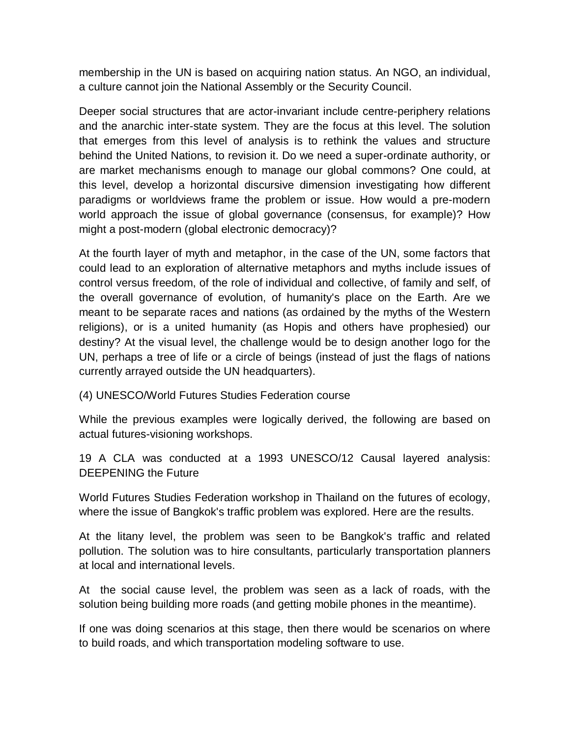membership in the UN is based on acquiring nation status. An NGO, an individual, a culture cannot join the National Assembly or the Security Council.

Deeper social structures that are actor-invariant include centre-periphery relations and the anarchic inter-state system. They are the focus at this level. The solution that emerges from this level of analysis is to rethink the values and structure behind the United Nations, to revision it. Do we need a super-ordinate authority, or are market mechanisms enough to manage our global commons? One could, at this level, develop a horizontal discursive dimension investigating how different paradigms or worldviews frame the problem or issue. How would a pre-modern world approach the issue of global governance (consensus, for example)? How might a post-modern (global electronic democracy)?

At the fourth layer of myth and metaphor, in the case of the UN, some factors that could lead to an exploration of alternative metaphors and myths include issues of control versus freedom, of the role of individual and collective, of family and self, of the overall governance of evolution, of humanity's place on the Earth. Are we meant to be separate races and nations (as ordained by the myths of the Western religions), or is a united humanity (as Hopis and others have prophesied) our destiny? At the visual level, the challenge would be to design another logo for the UN, perhaps a tree of life or a circle of beings (instead of just the flags of nations currently arrayed outside the UN headquarters).

(4) UNESCO/World Futures Studies Federation course

While the previous examples were logically derived, the following are based on actual futures-visioning workshops.

19 A CLA was conducted at a 1993 UNESCO/12 Causal layered analysis: DEEPENING the Future

World Futures Studies Federation workshop in Thailand on the futures of ecology, where the issue of Bangkok's traffic problem was explored. Here are the results.

At the litany level, the problem was seen to be Bangkok's traffic and related pollution. The solution was to hire consultants, particularly transportation planners at local and international levels.

At the social cause level, the problem was seen as a lack of roads, with the solution being building more roads (and getting mobile phones in the meantime).

If one was doing scenarios at this stage, then there would be scenarios on where to build roads, and which transportation modeling software to use.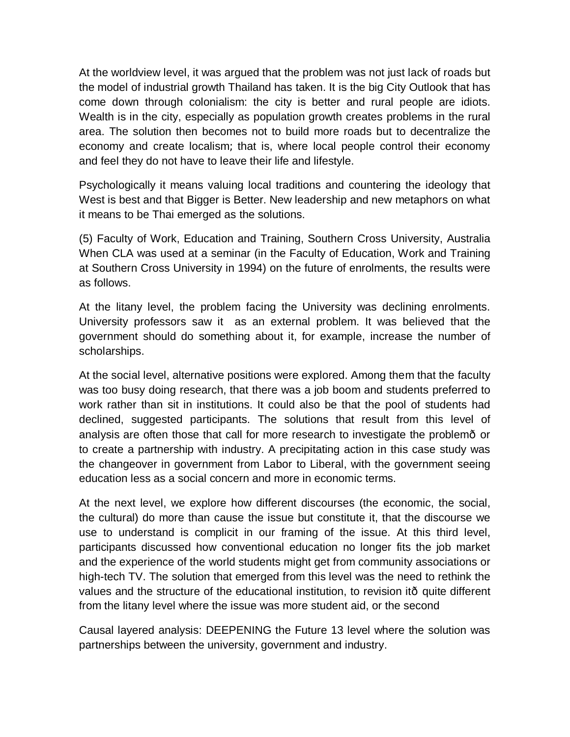At the worldview level, it was argued that the problem was not just lack of roads but the model of industrial growth Thailand has taken. It is the big City Outlook that has come down through colonialism: the city is better and rural people are idiots. Wealth is in the city, especially as population growth creates problems in the rural area. The solution then becomes not to build more roads but to decentralize the economy and create localismL that is, where local people control their economy and feel they do not have to leave their life and lifestyle.

Psychologically it means valuing local traditions and countering the ideology that West is best and that Bigger is Better. New leadership and new metaphors on what it means to be Thai emerged as the solutions.

(5) Faculty of Work, Education and Training, Southern Cross University, Australia When CLA was used at a seminar (in the Faculty of Education, Work and Training at Southern Cross University in 1994) on the future of enrolments, the results were as follows.

At the litany level, the problem facing the University was declining enrolments. University professors saw it as an external problem. It was believed that the government should do something about it, for example, increase the number of scholarships.

At the social level, alternative positions were explored. Among them that the faculty was too busy doing research, that there was a job boom and students preferred to work rather than sit in institutions. It could also be that the pool of students had declined, suggested participants. The solutions that result from this level of analysis are often those that call for more research to investigate the problem- or to create a partnership with industry. A precipitating action in this case study was the changeover in government from Labor to Liberal, with the government seeing education less as a social concern and more in economic terms.

At the next level, we explore how different discourses (the economic, the social, the cultural) do more than cause the issue but constitute it, that the discourse we use to understand is complicit in our framing of the issue. At this third level, participants discussed how conventional education no longer fits the job market and the experience of the world students might get from community associations or high-tech TV. The solution that emerged from this level was the need to rethink the values and the structure of the educational institution, to revision it—quite different from the litany level where the issue was more student aid, or the second

Causal layered analysis: DEEPENING the Future 13 level where the solution was partnerships between the university, government and industry.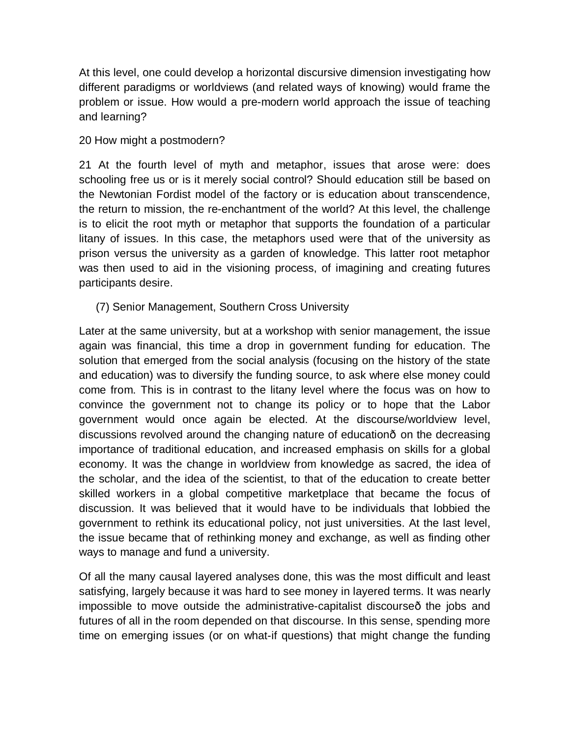At this level, one could develop a horizontal discursive dimension investigating how different paradigms or worldviews (and related ways of knowing) would frame the problem or issue. How would a pre-modern world approach the issue of teaching and learning?

20 How might a postmodern?

21 At the fourth level of myth and metaphor, issues that arose were: does schooling free us or is it merely social control? Should education still be based on the Newtonian Fordist model of the factory or is education about transcendence, the return to mission, the re-enchantment of the world? At this level, the challenge is to elicit the root myth or metaphor that supports the foundation of a particular litany of issues. In this case, the metaphors used were that of the university as prison versus the university as a garden of knowledge. This latter root metaphor was then used to aid in the visioning process, of imagining and creating futures participants desire.

(7) Senior Management, Southern Cross University

Later at the same university, but at a workshop with senior management, the issue again was financial, this time a drop in government funding for education. The solution that emerged from the social analysis (focusing on the history of the state and education) was to diversify the funding source, to ask where else money could come from. This is in contrast to the litany level where the focus was on how to convince the government not to change its policy or to hope that the Labor government would once again be elected. At the discourse/worldview level, discussions revolved around the changing nature of education—on the decreasing importance of traditional education, and increased emphasis on skills for a global economy. It was the change in worldview from knowledge as sacred, the idea of the scholar, and the idea of the scientist, to that of the education to create better skilled workers in a global competitive marketplace that became the focus of discussion. It was believed that it would have to be individuals that lobbied the government to rethink its educational policy, not just universities. At the last level, the issue became that of rethinking money and exchange, as well as finding other ways to manage and fund a university.

Of all the many causal layered analyses done, this was the most difficult and least satisfying, largely because it was hard to see money in layered terms. It was nearly impossible to move outside the administrative-capitalist discourse the jobs and futures of all in the room depended on that discourse. In this sense, spending more time on emerging issues (or on what-if questions) that might change the funding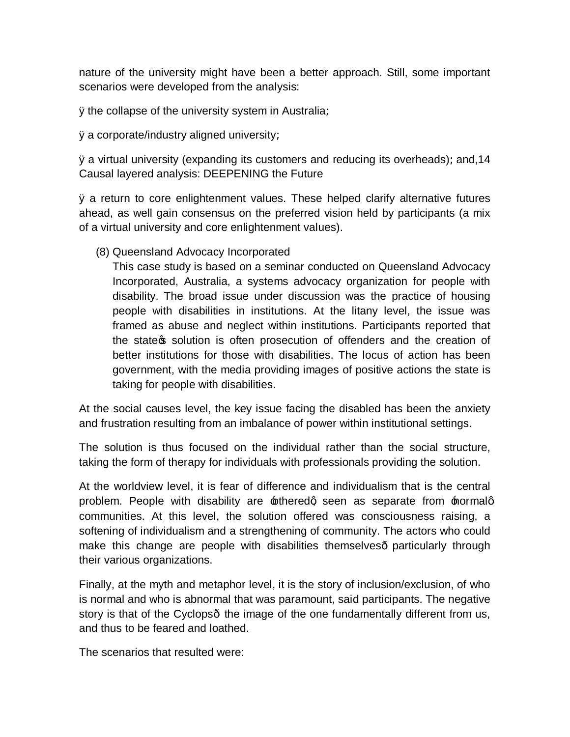nature of the university might have been a better approach. Still, some important scenarios were developed from the analysis:

 $\ddot{y}$  the collapse of the university system in AustraliaL

 $\ddot{y}$  a corporate/industry aligned university L

 $\ddot{y}$  a virtual university (expanding its customers and reducing its overheads) Land, 14 Causal layered analysis: DEEPENING the Future

ÿ a return to core enlightenment values. These helped clarify alternative futures ahead, as well gain consensus on the preferred vision held by participants (a mix of a virtual university and core enlightenment values).

(8) Queensland Advocacy Incorporated

This case study is based on a seminar conducted on Queensland Advocacy Incorporated, Australia, a systems advocacy organization for people with disability. The broad issue under discussion was the practice of housing people with disabilities in institutions. At the litany level, the issue was framed as abuse and neglect within institutions. Participants reported that the state of solution is often prosecution of offenders and the creation of better institutions for those with disabilities. The locus of action has been government, with the media providing images of positive actions the state is taking for people with disabilities.

At the social causes level, the key issue facing the disabled has been the anxiety and frustration resulting from an imbalance of power within institutional settings.

The solution is thus focused on the individual rather than the social structure, taking the form of therapy for individuals with professionals providing the solution.

At the worldview level, it is fear of difference and individualism that is the central problem. People with disability are  $\triangle$  otheredg seen as separate from  $\triangle$  normalg communities. At this level, the solution offered was consciousness raising, a softening of individualism and a strengthening of community. The actors who could make this change are people with disabilities themselves particularly through their various organizations.

Finally, at the myth and metaphor level, it is the story of inclusion/exclusion, of who is normal and who is abnormal that was paramount, said participants. The negative story is that of the Cyclops- the image of the one fundamentally different from us, and thus to be feared and loathed.

The scenarios that resulted were: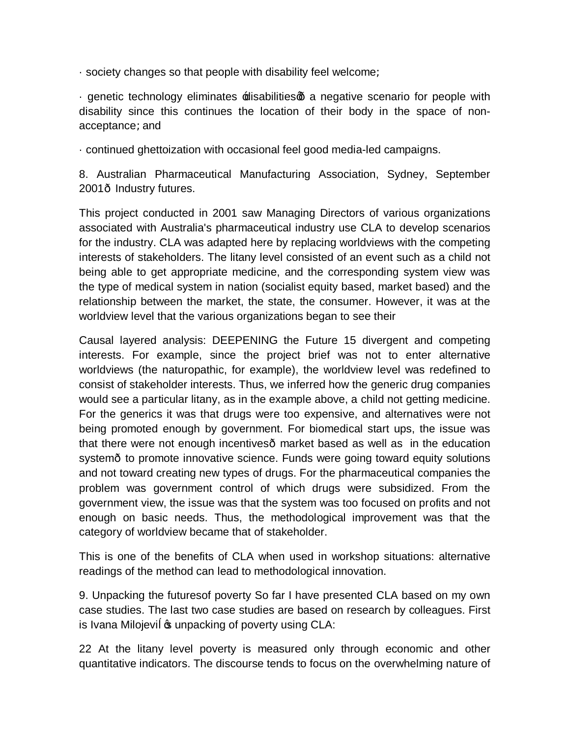$\cdot$  society changes so that people with disability feel welcomeL

· genetic technology eliminates  $\pm$ disabilitiesq a negative scenario for people with disability since this continues the location of their body in the space of nonacceptanceLand

· continued ghettoization with occasional feel good media-led campaigns.

8. Australian Pharmaceutical Manufacturing Association, Sydney, September 2001 Industry futures.

This project conducted in 2001 saw Managing Directors of various organizations associated with Australia's pharmaceutical industry use CLA to develop scenarios for the industry. CLA was adapted here by replacing worldviews with the competing interests of stakeholders. The litany level consisted of an event such as a child not being able to get appropriate medicine, and the corresponding system view was the type of medical system in nation (socialist equity based, market based) and the relationship between the market, the state, the consumer. However, it was at the worldview level that the various organizations began to see their

Causal layered analysis: DEEPENING the Future 15 divergent and competing interests. For example, since the project brief was not to enter alternative worldviews (the naturopathic, for example), the worldview level was redefined to consist of stakeholder interests. Thus, we inferred how the generic drug companies would see a particular litany, as in the example above, a child not getting medicine. For the generics it was that drugs were too expensive, and alternatives were not being promoted enough by government. For biomedical start ups, the issue was that there were not enough incentives market based as well as in the education system- to promote innovative science. Funds were going toward equity solutions and not toward creating new types of drugs. For the pharmaceutical companies the problem was government control of which drugs were subsidized. From the government view, the issue was that the system was too focused on profits and not enough on basic needs. Thus, the methodological improvement was that the category of worldview became that of stakeholder.

This is one of the benefits of CLA when used in workshop situations: alternative readings of the method can lead to methodological innovation.

9. Unpacking the futuresof poverty So far I have presented CLA based on my own case studies. The last two case studies are based on research by colleagues. First is Ivana Milojevi & unpacking of poverty using CLA:

22 At the litany level poverty is measured only through economic and other quantitative indicators. The discourse tends to focus on the overwhelming nature of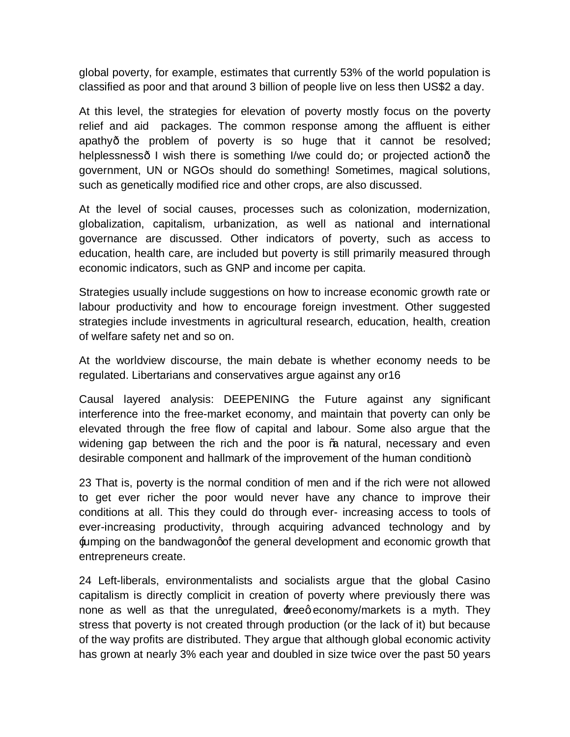global poverty, for example, estimates that currently 53% of the world population is classified as poor and that around 3 billion of people live on less then US\$2 a day.

At this level, the strategies for elevation of poverty mostly focus on the poverty relief and aid packages. The common response among the affluent is either apathy the problem of poverty is so huge that it cannot be resolvedL helplessness I wish there is something I/we could do Lor projected action the government, UN or NGOs should do something! Sometimes, magical solutions, such as genetically modified rice and other crops, are also discussed.

At the level of social causes, processes such as colonization, modernization, globalization, capitalism, urbanization, as well as national and international governance are discussed. Other indicators of poverty, such as access to education, health care, are included but poverty is still primarily measured through economic indicators, such as GNP and income per capita.

Strategies usually include suggestions on how to increase economic growth rate or labour productivity and how to encourage foreign investment. Other suggested strategies include investments in agricultural research, education, health, creation of welfare safety net and so on.

At the worldview discourse, the main debate is whether economy needs to be regulated. Libertarians and conservatives argue against any or16

Causal layered analysis: DEEPENING the Future against any significant interference into the free-market economy, and maintain that poverty can only be elevated through the free flow of capital and labour. Some also argue that the widening gap between the rich and the poor is % natural, necessary and even desirable component and hallmark of the improvement of the human condition+.

23 That is, poverty is the normal condition of men and if the rich were not allowed to get ever richer the poor would never have any chance to improve their conditions at all. This they could do through ever- increasing access to tools of ever-increasing productivity, through acquiring advanced technology and by iumping on the bandwagong the general development and economic growth that entrepreneurs create.

24 Left-liberals, environmentalists and socialists argue that the global Casino capitalism is directly complicit in creation of poverty where previously there was none as well as that the unregulated, freege conomy/markets is a myth. They stress that poverty is not created through production (or the lack of it) but because of the way profits are distributed. They argue that although global economic activity has grown at nearly 3% each year and doubled in size twice over the past 50 years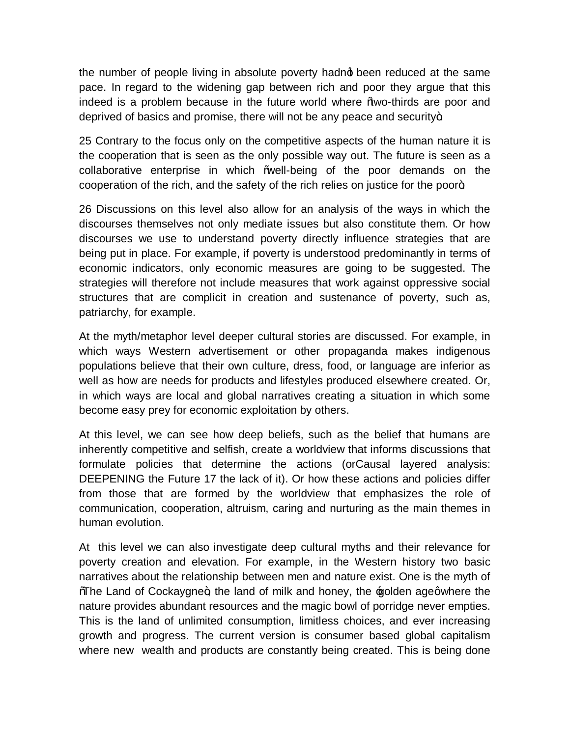the number of people living in absolute poverty hadno been reduced at the same pace. In regard to the widening gap between rich and poor they argue that this indeed is a problem because in the future world where "wo-thirds are poor and deprived of basics and promise, there will not be any peace and security $+$ .

25 Contrary to the focus only on the competitive aspects of the human nature it is the cooperation that is seen as the only possible way out. The future is seen as a collaborative enterprise in which "well-being of the poor demands on the cooperation of the rich, and the safety of the rich relies on justice for the poor+.

26 Discussions on this level also allow for an analysis of the ways in which the discourses themselves not only mediate issues but also constitute them. Or how discourses we use to understand poverty directly influence strategies that are being put in place. For example, if poverty is understood predominantly in terms of economic indicators, only economic measures are going to be suggested. The strategies will therefore not include measures that work against oppressive social structures that are complicit in creation and sustenance of poverty, such as, patriarchy, for example.

At the myth/metaphor level deeper cultural stories are discussed. For example, in which ways Western advertisement or other propaganda makes indigenous populations believe that their own culture, dress, food, or language are inferior as well as how are needs for products and lifestyles produced elsewhere created. Or, in which ways are local and global narratives creating a situation in which some become easy prey for economic exploitation by others.

At this level, we can see how deep beliefs, such as the belief that humans are inherently competitive and selfish, create a worldview that informs discussions that formulate policies that determine the actions (orCausal layered analysis: DEEPENING the Future 17 the lack of it). Or how these actions and policies differ from those that are formed by the worldview that emphasizes the role of communication, cooperation, altruism, caring and nurturing as the main themes in human evolution.

At this level we can also investigate deep cultural myths and their relevance for poverty creation and elevation. For example, in the Western history two basic narratives about the relationship between men and nature exist. One is the myth of Whe Land of Cockaygne+, the land of milk and honey, the golden agegwhere the nature provides abundant resources and the magic bowl of porridge never empties. This is the land of unlimited consumption, limitless choices, and ever increasing growth and progress. The current version is consumer based global capitalism where new wealth and products are constantly being created. This is being done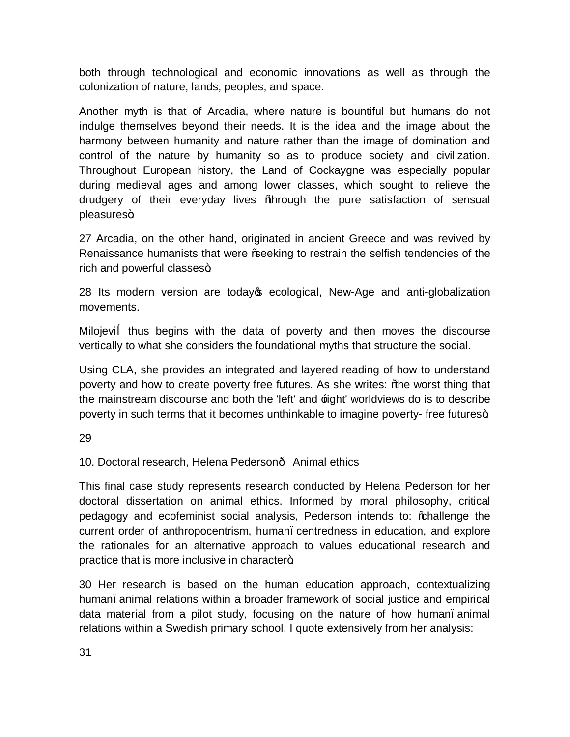both through technological and economic innovations as well as through the colonization of nature, lands, peoples, and space.

Another myth is that of Arcadia, where nature is bountiful but humans do not indulge themselves beyond their needs. It is the idea and the image about the harmony between humanity and nature rather than the image of domination and control of the nature by humanity so as to produce society and civilization. Throughout European history, the Land of Cockaygne was especially popular during medieval ages and among lower classes, which sought to relieve the drudgery of their everyday lives "through the pure satisfaction of sensual pleasures+

27 Arcadia, on the other hand, originated in ancient Greece and was revived by Renaissance humanists that were "seeking to restrain the selfish tendencies of the rich and powerful classes+.

28 Its modern version are today t ecological, New-Age and anti-globalization movements.

Milojevi thus begins with the data of poverty and then moves the discourse vertically to what she considers the foundational myths that structure the social.

Using CLA, she provides an integrated and layered reading of how to understand poverty and how to create poverty free futures. As she writes: "the worst thing that the mainstream discourse and both the 'left' and  $\pm i$ ght' worldviews do is to describe poverty in such terms that it becomes unthinkable to imagine poverty- free futures+

29

10. Doctoral research, Helena Pederson— Animal ethics

This final case study represents research conducted by Helena Pederson for her doctoral dissertation on animal ethics. Informed by moral philosophy, critical pedagogy and ecofeminist social analysis, Pederson intends to: % hallenge the current order of anthropocentrism, human. centredness in education, and explore the rationales for an alternative approach to values educational research and practice that is more inclusive in character+.

30 Her research is based on the human education approach, contextualizing human, animal relations within a broader framework of social justice and empirical data material from a pilot study, focusing on the nature of how human. animal relations within a Swedish primary school. I quote extensively from her analysis: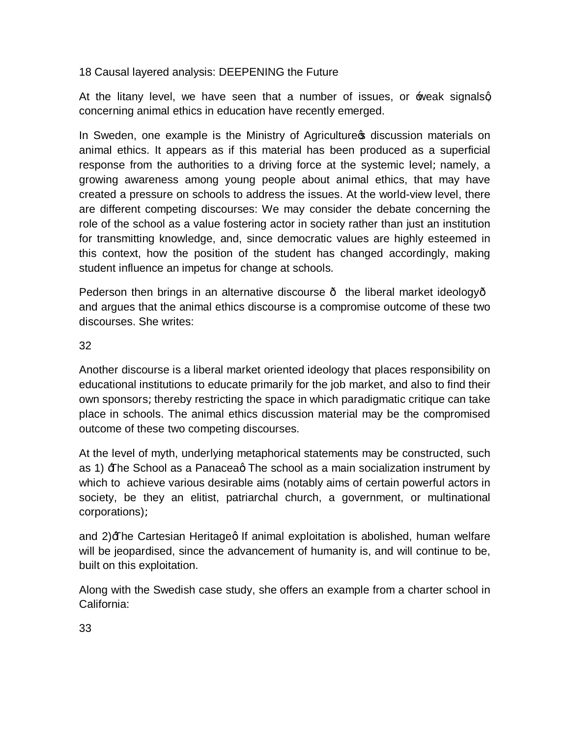# 18 Causal layered analysis: DEEPENING the Future

At the litany level, we have seen that a number of issues, or  $\pm$  weak signalsg concerning animal ethics in education have recently emerged.

In Sweden, one example is the Ministry of Agriculture of discussion materials on animal ethics. It appears as if this material has been produced as a superficial response from the authorities to a driving force at the systemic level Lnamely, a growing awareness among young people about animal ethics, that may have created a pressure on schools to address the issues. At the world-view level, there are different competing discourses: We may consider the debate concerning the role of the school as a value fostering actor in society rather than just an institution for transmitting knowledge, and, since democratic values are highly esteemed in this context, how the position of the student has changed accordingly, making student influence an impetus for change at schools.

Pederson then brings in an alternative discourse — the liberal market ideology and argues that the animal ethics discourse is a compromise outcome of these two discourses. She writes:

### 32

Another discourse is a liberal market oriented ideology that places responsibility on educational institutions to educate primarily for the job market, and also to find their own sponsors Lthereby restricting the space in which paradigmatic critique can take place in schools. The animal ethics discussion material may be the compromised outcome of these two competing discourses.

At the level of myth, underlying metaphorical statements may be constructed, such as 1)  $\exists$  he School as a Panaceag The school as a main socialization instrument by which to achieve various desirable aims (notably aims of certain powerful actors in society, be they an elitist, patriarchal church, a government, or multinational corporations)L

and  $2$ ) $\pm$ he Cartesian Heritageg If animal exploitation is abolished, human welfare will be jeopardised, since the advancement of humanity is, and will continue to be, built on this exploitation.

Along with the Swedish case study, she offers an example from a charter school in California:

33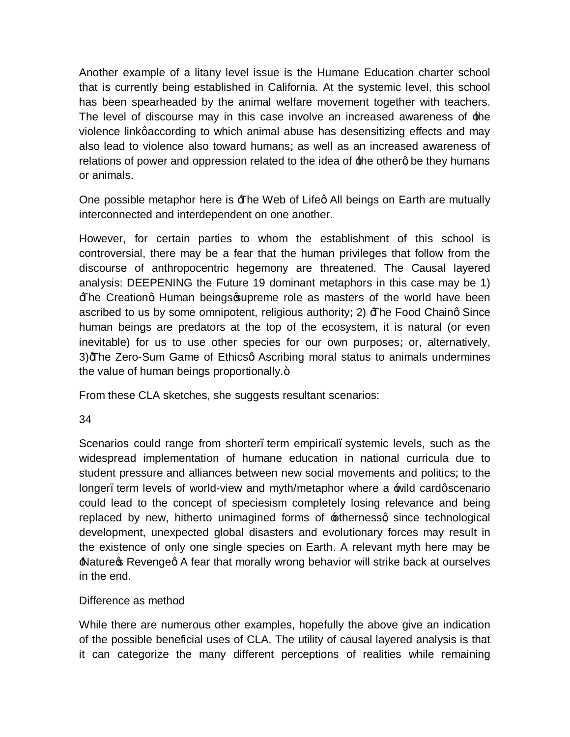Another example of a litany level issue is the Humane Education charter school that is currently being established in California. At the systemic level, this school has been spearheaded by the animal welfare movement together with teachers. The level of discourse may in this case involve an increased awareness of the violence link gaccording to which animal abuse has desensitizing effects and may also lead to violence also toward humans Las well as an increased awareness of relations of power and oppression related to the idea of  $\pm$ he otherg be they humans or animals.

One possible metaphor here is  $\exists$  he Web of Lifeg All beings on Earth are mutually interconnected and interdependent on one another.

However, for certain parties to whom the establishment of this school is controversial, there may be a fear that the human privileges that follow from the discourse of anthropocentric hegemony are threatened. The Causal layered analysis: DEEPENING the Future 19 dominant metaphors in this case may be 1) Fre Creationg Human beings supreme role as masters of the world have been ascribed to us by some omnipotent, religious authority  $L(2)$   $\exists$  he Food Chaing Since human beings are predators at the top of the ecosystem, it is natural (or even inevitable) for us to use other species for our own purposes Lor, alternatively, 3) The Zero-Sum Game of Ethics a Ascribing moral status to animals undermines the value of human beings proportionally.+

From these CLA sketches, she suggests resultant scenarios:

34

Scenarios could range from shorter, term empirical, systemic levels, such as the widespread implementation of humane education in national curricula due to student pressure and alliances between new social movements and politics Lto the longer, term levels of world-view and myth/metaphor where a  $\equiv$  wild cardgscenario could lead to the concept of speciesism completely losing relevance and being replaced by new, hitherto unimagined forms of  $\pm$ thernessg since technological development, unexpected global disasters and evolutionary forces may result in the existence of only one single species on Earth. A relevant myth here may be **A** Nature **S** Revenged A fear that morally wrong behavior will strike back at ourselves in the end.

# Difference as method

While there are numerous other examples, hopefully the above give an indication of the possible beneficial uses of CLA. The utility of causal layered analysis is that it can categorize the many different perceptions of realities while remaining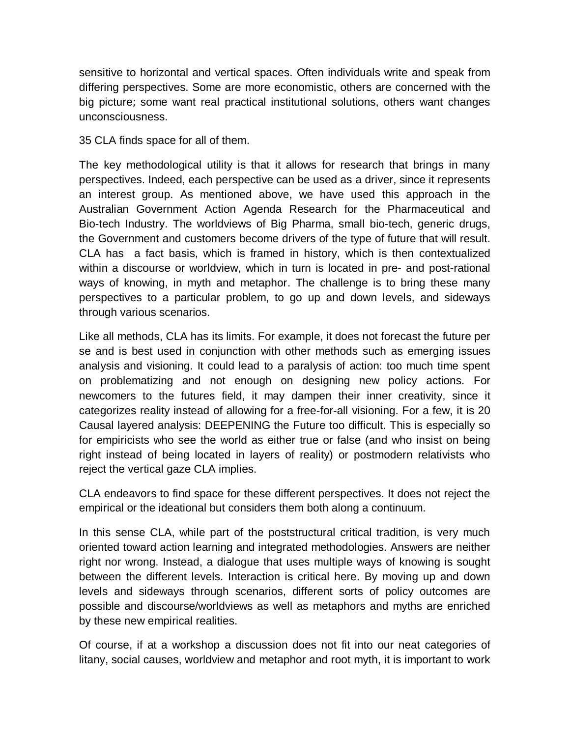sensitive to horizontal and vertical spaces. Often individuals write and speak from differing perspectives. Some are more economistic, others are concerned with the big pictureL some want real practical institutional solutions, others want changes unconsciousness.

35 CLA finds space for all of them.

The key methodological utility is that it allows for research that brings in many perspectives. Indeed, each perspective can be used as a driver, since it represents an interest group. As mentioned above, we have used this approach in the Australian Government Action Agenda Research for the Pharmaceutical and Bio-tech Industry. The worldviews of Big Pharma, small bio-tech, generic drugs, the Government and customers become drivers of the type of future that will result. CLA has a fact basis, which is framed in history, which is then contextualized within a discourse or worldview, which in turn is located in pre- and post-rational ways of knowing, in myth and metaphor. The challenge is to bring these many perspectives to a particular problem, to go up and down levels, and sideways through various scenarios.

Like all methods, CLA has its limits. For example, it does not forecast the future per se and is best used in conjunction with other methods such as emerging issues analysis and visioning. It could lead to a paralysis of action: too much time spent on problematizing and not enough on designing new policy actions. For newcomers to the futures field, it may dampen their inner creativity, since it categorizes reality instead of allowing for a free-for-all visioning. For a few, it is 20 Causal layered analysis: DEEPENING the Future too difficult. This is especially so for empiricists who see the world as either true or false (and who insist on being right instead of being located in layers of reality) or postmodern relativists who reject the vertical gaze CLA implies.

CLA endeavors to find space for these different perspectives. It does not reject the empirical or the ideational but considers them both along a continuum.

In this sense CLA, while part of the poststructural critical tradition, is very much oriented toward action learning and integrated methodologies. Answers are neither right nor wrong. Instead, a dialogue that uses multiple ways of knowing is sought between the different levels. Interaction is critical here. By moving up and down levels and sideways through scenarios, different sorts of policy outcomes are possible and discourse/worldviews as well as metaphors and myths are enriched by these new empirical realities.

Of course, if at a workshop a discussion does not fit into our neat categories of litany, social causes, worldview and metaphor and root myth, it is important to work